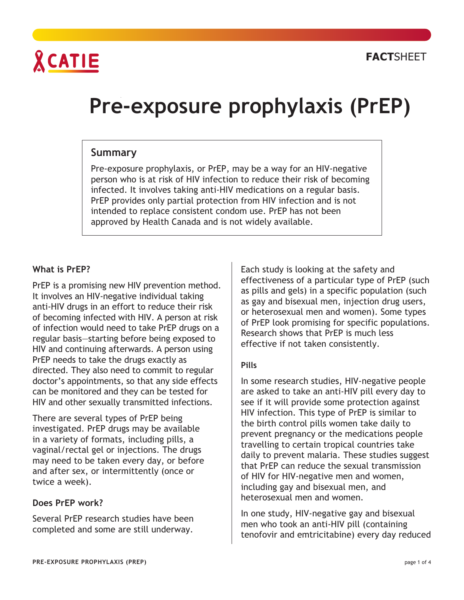

# **Pre-exposure prophylaxis** (PrEP)

# **Summary**

Pre-exposure prophylaxis, or PrEP, may be a way for an HIV-negative person who is at risk of HIV infection to reduce their risk of becoming infected. It involves taking anti-HIV medications on a regular basis. PrEP provides only partial protection from HIV infection and is not intended to replace consistent condom use. PrEP has not been approved by Health Canada and is not widely available.

#### **What is PrEP?**

PrEP is a promising new HIV prevention method. It involves an HIV-negative individual taking anti-HIV drugs in an effort to reduce their risk of becoming infected with HIV. A person at risk of infection would need to take PrEP drugs on a regular basis—starting before being exposed to HIV and continuing afterwards. A person using PrEP needs to take the drugs exactly as directed. They also need to commit to regular doctor's appointments, so that any side effects can be monitored and they can be tested for HIV and other sexually transmitted infections.

There are several types of PrEP being investigated. PrEP drugs may be available in a variety of formats, including pills, a vaginal/rectal gel or injections. The drugs may need to be taken every day, or before and after sex, or intermittently (once or twice a week).

#### **Does PrEP work?**

Several PrEP research studies have been completed and some are still underway.

Each study is looking at the safety and effectiveness of a particular type of PrEP (such as pills and gels) in a specific population (such as gay and bisexual men, injection drug users, or heterosexual men and women). Some types of PrEP look promising for specific populations. Research shows that PrEP is much less effective if not taken consistently.

#### **Pills**

In some research studies, HIV-negative people are asked to take an anti-HIV pill every day to see if it will provide some protection against HIV infection. This type of PrEP is similar to the birth control pills women take daily to prevent pregnancy or the medications people travelling to certain tropical countries take daily to prevent malaria. These studies suggest that PrEP can reduce the sexual transmission of HIV for HIV-negative men and women, including gay and bisexual men, and heterosexual men and women.

In one study, HIV-negative gay and bisexual men who took an anti-HIV pill (containing tenofovir and emtricitabine) every day reduced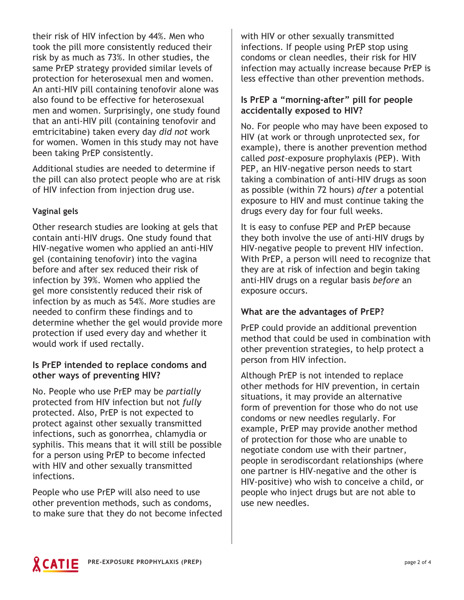their risk of HIV infection by 44%. Men who took the pill more consistently reduced their risk by as much as 73%. In other studies, the same PrEP strategy provided similar levels of protection for heterosexual men and women. An anti-HIV pill containing tenofovir alone was also found to be effective for heterosexual men and women. Surprisingly, one study found that an anti-HIV pill (containing tenofovir and emtricitabine) taken every day *did not* work for women. Women in this study may not have been taking PrEP consistently.

Additional studies are needed to determine if the pill can also protect people who are at risk of HIV infection from injection drug use.

## **Vaginal gels**

Other research studies are looking at gels that contain anti-HIV drugs. One study found that HIV-negative women who applied an anti-HIV gel (containing tenofovir) into the vagina before and after sex reduced their risk of infection by 39%. Women who applied the gel more consistently reduced their risk of infection by as much as 54%. More studies are needed to confirm these findings and to determine whether the gel would provide more protection if used every day and whether it would work if used rectally.

## **Is PrEP intended to replace condoms and other ways of preventing HIV?**

No. People who use PrEP may be *partially* protected from HIV infection but not *fully* protected. Also, PrEP is not expected to protect against other sexually transmitted infections, such as gonorrhea, chlamydia or syphilis. This means that it will still be possible for a person using PrEP to become infected with HIV and other sexually transmitted infections.

People who use PrEP will also need to use other prevention methods, such as condoms, to make sure that they do not become infected with HIV or other sexually transmitted infections. If people using PrEP stop using condoms or clean needles, their risk for HIV infection may actually increase because PrEP is less effective than other prevention methods.

# **Is PrEP a "morning-after" pill for people accidentally exposed to HIV?**

No. For people who may have been exposed to HIV (at work or through unprotected sex, for example), there is another prevention method called *post*-exposure prophylaxis (PEP). With PEP, an HIV-negative person needs to start taking a combination of anti-HIV drugs as soon as possible (within 72 hours) *after* a potential exposure to HIV and must continue taking the drugs every day for four full weeks.

It is easy to confuse PEP and PrEP because they both involve the use of anti-HIV drugs by HIV-negative people to prevent HIV infection. With PrEP, a person will need to recognize that they are at risk of infection and begin taking anti-HIV drugs on a regular basis *before* an exposure occurs.

# **What are the advantages of PrEP?**

PrEP could provide an additional prevention method that could be used in combination with other prevention strategies, to help protect a person from HIV infection.

Although PrEP is not intended to replace other methods for HIV prevention, in certain situations, it may provide an alternative form of prevention for those who do not use condoms or new needles regularly. For example, PrEP may provide another method of protection for those who are unable to negotiate condom use with their partner, people in serodiscordant relationships (where one partner is HIV-negative and the other is HIV-positive) who wish to conceive a child, or people who inject drugs but are not able to use new needles.

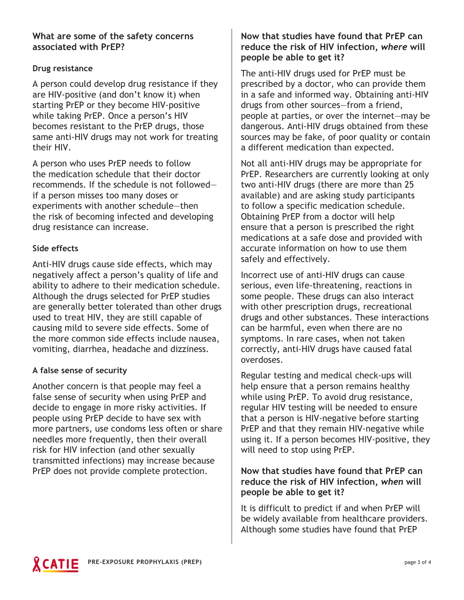## **What are some of the safety concerns associated with PrEP?**

# **Drug resistance**

A person could develop drug resistance if they are HIV-positive (and don't know it) when starting PrEP or they become HIV-positive while taking PrEP. Once a person's HIV becomes resistant to the PrEP drugs, those same anti-HIV drugs may not work for treating their HIV.

A person who uses PrEP needs to follow the medication schedule that their doctor recommends. If the schedule is not followed if a person misses too many doses or experiments with another schedule—then the risk of becoming infected and developing drug resistance can increase.

## **Side effects**

Anti-HIV drugs cause side effects, which may negatively affect a person's quality of life and ability to adhere to their medication schedule. Although the drugs selected for PrEP studies are generally better tolerated than other drugs used to treat HIV, they are still capable of causing mild to severe side effects. Some of the more common side effects include nausea, vomiting, diarrhea, headache and dizziness.

#### **A false sense of security**

Another concern is that people may feel a false sense of security when using PrEP and decide to engage in more risky activities. If people using PrEP decide to have sex with more partners, use condoms less often or share needles more frequently, then their overall risk for HIV infection (and other sexually transmitted infections) may increase because PrEP does not provide complete protection.

# **Now that studies have found that PrEP can reduce the risk of HIV infection,** *where* **will people be able to get it?**

The anti-HIV drugs used for PrEP must be prescribed by a doctor, who can provide them in a safe and informed way. Obtaining anti-HIV drugs from other sources—from a friend, people at parties, or over the internet—may be dangerous. Anti-HIV drugs obtained from these sources may be fake, of poor quality or contain a different medication than expected.

Not all anti-HIV drugs may be appropriate for PrEP. Researchers are currently looking at only two anti-HIV drugs (there are more than 25 available) and are asking study participants to follow a specific medication schedule. Obtaining PrEP from a doctor will help ensure that a person is prescribed the right medications at a safe dose and provided with accurate information on how to use them safely and effectively.

Incorrect use of anti-HIV drugs can cause serious, even life-threatening, reactions in some people. These drugs can also interact with other prescription drugs, recreational drugs and other substances. These interactions can be harmful, even when there are no symptoms. In rare cases, when not taken correctly, anti-HIV drugs have caused fatal overdoses.

Regular testing and medical check-ups will help ensure that a person remains healthy while using PrEP. To avoid drug resistance, regular HIV testing will be needed to ensure that a person is HIV-negative before starting PrEP and that they remain HIV-negative while using it. If a person becomes HIV-positive, they will need to stop using PrEP.

## **Now that studies have found that PrEP can reduce the risk of HIV infection,** *when* **will people be able to get it?**

It is difficult to predict if and when PrEP will be widely available from healthcare providers. Although some studies have found that PrEP